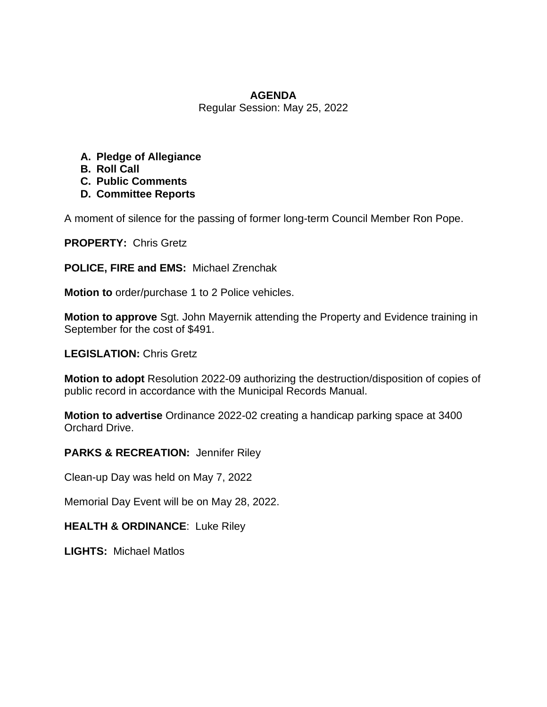#### **AGENDA**

Regular Session: May 25, 2022

- **A. Pledge of Allegiance**
- **B. Roll Call**
- **C. Public Comments**
- **D. Committee Reports**

A moment of silence for the passing of former long-term Council Member Ron Pope.

**PROPERTY:** Chris Gretz

**POLICE, FIRE and EMS:** Michael Zrenchak

**Motion to** order/purchase 1 to 2 Police vehicles.

**Motion to approve** Sgt. John Mayernik attending the Property and Evidence training in September for the cost of \$491.

**LEGISLATION:** Chris Gretz

**Motion to adopt** Resolution 2022-09 authorizing the destruction/disposition of copies of public record in accordance with the Municipal Records Manual.

**Motion to advertise** Ordinance 2022-02 creating a handicap parking space at 3400 Orchard Drive.

**PARKS & RECREATION:** Jennifer Riley

Clean-up Day was held on May 7, 2022

Memorial Day Event will be on May 28, 2022.

**HEALTH & ORDINANCE**: Luke Riley

**LIGHTS:** Michael Matlos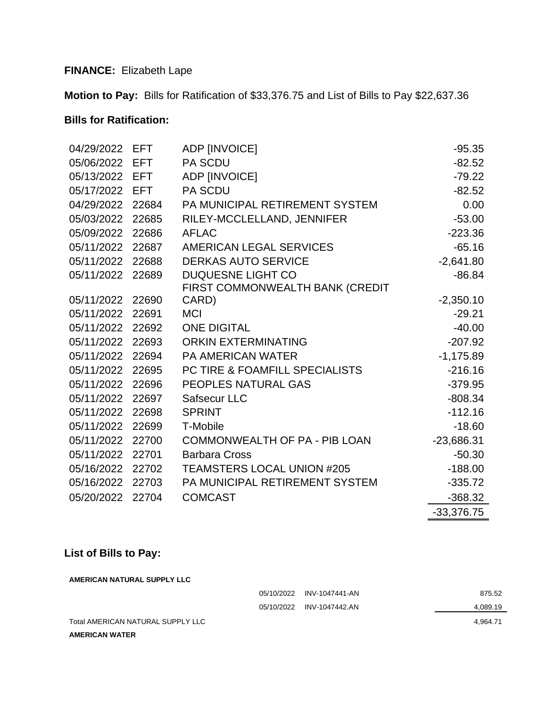# **FINANCE:** Elizabeth Lape

**Motion to Pay:** Bills for Ratification of \$33,376.75 and List of Bills to Pay \$22,637.36

## **Bills for Ratification:**

| 04/29/2022     | <b>EFT</b> | ADP [INVOICE]                             | $-95.35$     |
|----------------|------------|-------------------------------------------|--------------|
| 05/06/2022     | <b>EFT</b> | <b>PA SCDU</b>                            | $-82.52$     |
| 05/13/2022 EFT |            | ADP [INVOICE]                             | $-79.22$     |
| 05/17/2022     | EFT.       | <b>PA SCDU</b>                            | $-82.52$     |
| 04/29/2022     | 22684      | PA MUNICIPAL RETIREMENT SYSTEM            | 0.00         |
| 05/03/2022     | 22685      | RILEY-MCCLELLAND, JENNIFER                | $-53.00$     |
| 05/09/2022     | 22686      | <b>AFLAC</b>                              | $-223.36$    |
| 05/11/2022     | 22687      | AMERICAN LEGAL SERVICES                   | $-65.16$     |
| 05/11/2022     | 22688      | <b>DERKAS AUTO SERVICE</b>                | $-2,641.80$  |
| 05/11/2022     | 22689      | <b>DUQUESNE LIGHT CO</b>                  | $-86.84$     |
|                |            | FIRST COMMONWEALTH BANK (CREDIT           |              |
| 05/11/2022     | 22690      | CARD)                                     | $-2,350.10$  |
| 05/11/2022     | 22691      | <b>MCI</b>                                | $-29.21$     |
| 05/11/2022     | 22692      | <b>ONE DIGITAL</b>                        | $-40.00$     |
| 05/11/2022     | 22693      | <b>ORKIN EXTERMINATING</b>                | $-207.92$    |
| 05/11/2022     | 22694      | <b>PA AMERICAN WATER</b>                  | $-1,175.89$  |
| 05/11/2022     | 22695      | <b>PC TIRE &amp; FOAMFILL SPECIALISTS</b> | $-216.16$    |
| 05/11/2022     | 22696      | PEOPLES NATURAL GAS                       | $-379.95$    |
| 05/11/2022     | 22697      | Safsecur LLC                              | $-808.34$    |
| 05/11/2022     | 22698      | <b>SPRINT</b>                             | $-112.16$    |
| 05/11/2022     | 22699      | T-Mobile                                  | $-18.60$     |
| 05/11/2022     | 22700      | COMMONWEALTH OF PA - PIB LOAN             | $-23,686.31$ |
| 05/11/2022     | 22701      | <b>Barbara Cross</b>                      | $-50.30$     |
| 05/16/2022     | 22702      | <b>TEAMSTERS LOCAL UNION #205</b>         | $-188.00$    |
| 05/16/2022     | 22703      | PA MUNICIPAL RETIREMENT SYSTEM            | $-335.72$    |
| 05/20/2022     | 22704      | <b>COMCAST</b>                            | $-368.32$    |
|                |            |                                           | $-33,376.75$ |

# **List of Bills to Pay:**

| AMERICAN NATURAL SUPPLY LLC       |            |                |          |  |  |  |  |
|-----------------------------------|------------|----------------|----------|--|--|--|--|
|                                   | 05/10/2022 | INV-1047441-AN | 875.52   |  |  |  |  |
|                                   | 05/10/2022 | INV-1047442.AN | 4,089.19 |  |  |  |  |
| Total AMERICAN NATURAL SUPPLY LLC | 4.964.71   |                |          |  |  |  |  |
| <b>AMERICAN WATER</b>             |            |                |          |  |  |  |  |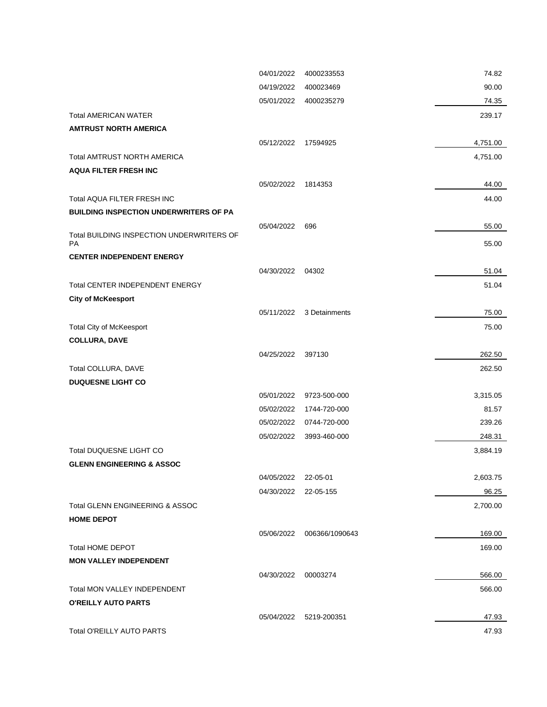|                                                        | 04/01/2022 | 4000233553     | 74.82    |
|--------------------------------------------------------|------------|----------------|----------|
|                                                        | 04/19/2022 | 400023469      | 90.00    |
|                                                        | 05/01/2022 | 4000235279     | 74.35    |
| <b>Total AMERICAN WATER</b>                            |            |                | 239.17   |
| <b>AMTRUST NORTH AMERICA</b>                           |            |                |          |
|                                                        | 05/12/2022 | 17594925       | 4,751.00 |
| <b>Total AMTRUST NORTH AMERICA</b>                     |            |                | 4,751.00 |
| <b>AQUA FILTER FRESH INC</b>                           |            |                |          |
|                                                        | 05/02/2022 | 1814353        | 44.00    |
| Total AQUA FILTER FRESH INC                            |            |                | 44.00    |
| <b>BUILDING INSPECTION UNDERWRITERS OF PA</b>          |            |                |          |
|                                                        | 05/04/2022 | 696            | 55.00    |
| Total BUILDING INSPECTION UNDERWRITERS OF<br><b>PA</b> |            |                | 55.00    |
| <b>CENTER INDEPENDENT ENERGY</b>                       |            |                |          |
|                                                        | 04/30/2022 | 04302          | 51.04    |
| <b>Total CENTER INDEPENDENT ENERGY</b>                 |            |                | 51.04    |
| <b>City of McKeesport</b>                              |            |                |          |
|                                                        | 05/11/2022 | 3 Detainments  | 75.00    |
| Total City of McKeesport                               |            |                | 75.00    |
| <b>COLLURA, DAVE</b>                                   |            |                |          |
|                                                        | 04/25/2022 | 397130         | 262.50   |
| Total COLLURA, DAVE                                    |            |                | 262.50   |
| <b>DUQUESNE LIGHT CO</b>                               |            |                |          |
|                                                        | 05/01/2022 | 9723-500-000   | 3,315.05 |
|                                                        | 05/02/2022 | 1744-720-000   | 81.57    |
|                                                        | 05/02/2022 | 0744-720-000   | 239.26   |
|                                                        | 05/02/2022 | 3993-460-000   | 248.31   |
| Total DUQUESNE LIGHT CO                                |            |                | 3,884.19 |
| <b>GLENN ENGINEERING &amp; ASSOC</b>                   |            |                |          |
|                                                        | 04/05/2022 | 22-05-01       | 2,603.75 |
|                                                        | 04/30/2022 | 22-05-155      | 96.25    |
| Total GLENN ENGINEERING & ASSOC                        |            |                | 2,700.00 |
| <b>HOME DEPOT</b>                                      |            |                |          |
|                                                        | 05/06/2022 | 006366/1090643 | 169.00   |
| <b>Total HOME DEPOT</b>                                |            |                | 169.00   |
| <b>MON VALLEY INDEPENDENT</b>                          |            |                |          |
|                                                        | 04/30/2022 | 00003274       | 566.00   |
| Total MON VALLEY INDEPENDENT                           |            |                | 566.00   |
| <b>O'REILLY AUTO PARTS</b>                             |            |                |          |
|                                                        | 05/04/2022 | 5219-200351    | 47.93    |
| <b>Total O'REILLY AUTO PARTS</b>                       |            |                | 47.93    |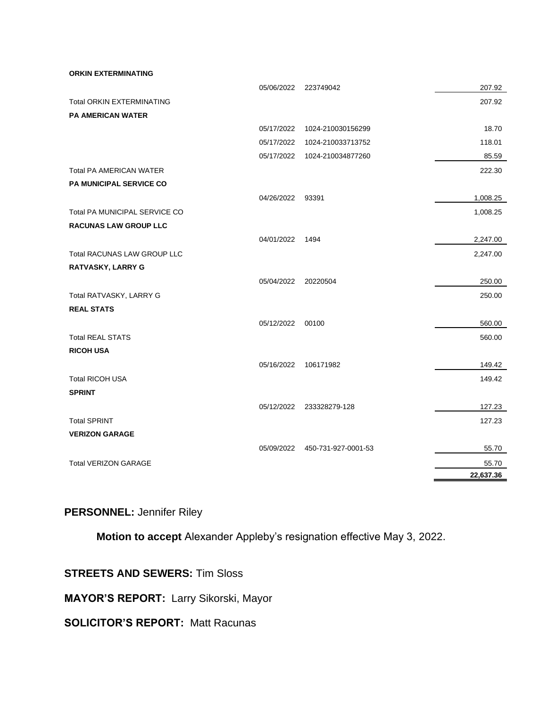**ORKIN EXTERMINATING**

|                                    | 05/06/2022 | 223749042           | 207.92    |
|------------------------------------|------------|---------------------|-----------|
| <b>Total ORKIN EXTERMINATING</b>   |            |                     | 207.92    |
| <b>PA AMERICAN WATER</b>           |            |                     |           |
|                                    | 05/17/2022 | 1024-210030156299   | 18.70     |
|                                    | 05/17/2022 | 1024-210033713752   | 118.01    |
|                                    | 05/17/2022 | 1024-210034877260   | 85.59     |
| <b>Total PA AMERICAN WATER</b>     |            |                     | 222.30    |
| <b>PA MUNICIPAL SERVICE CO</b>     |            |                     |           |
|                                    | 04/26/2022 | 93391               | 1,008.25  |
| Total PA MUNICIPAL SERVICE CO      |            |                     | 1,008.25  |
| <b>RACUNAS LAW GROUP LLC</b>       |            |                     |           |
|                                    | 04/01/2022 | 1494                | 2,247.00  |
| <b>Total RACUNAS LAW GROUP LLC</b> |            |                     | 2,247.00  |
| <b>RATVASKY, LARRY G</b>           |            |                     |           |
|                                    | 05/04/2022 | 20220504            | 250.00    |
| Total RATVASKY, LARRY G            |            |                     | 250.00    |
| <b>REAL STATS</b>                  |            |                     |           |
|                                    | 05/12/2022 | 00100               | 560.00    |
| <b>Total REAL STATS</b>            |            |                     | 560.00    |
| <b>RICOH USA</b>                   |            |                     |           |
|                                    | 05/16/2022 | 106171982           | 149.42    |
| <b>Total RICOH USA</b>             |            |                     | 149.42    |
| <b>SPRINT</b>                      |            |                     |           |
|                                    | 05/12/2022 | 233328279-128       | 127.23    |
| <b>Total SPRINT</b>                |            |                     | 127.23    |
| <b>VERIZON GARAGE</b>              |            |                     |           |
|                                    | 05/09/2022 | 450-731-927-0001-53 | 55.70     |
| <b>Total VERIZON GARAGE</b>        |            |                     | 55.70     |
|                                    |            |                     | 22,637.36 |

## **PERSONNEL:** Jennifer Riley

**Motion to accept** Alexander Appleby's resignation effective May 3, 2022.

### **STREETS AND SEWERS:** Tim Sloss

**MAYOR'S REPORT:** Larry Sikorski, Mayor

## **SOLICITOR'S REPORT: Matt Racunas**